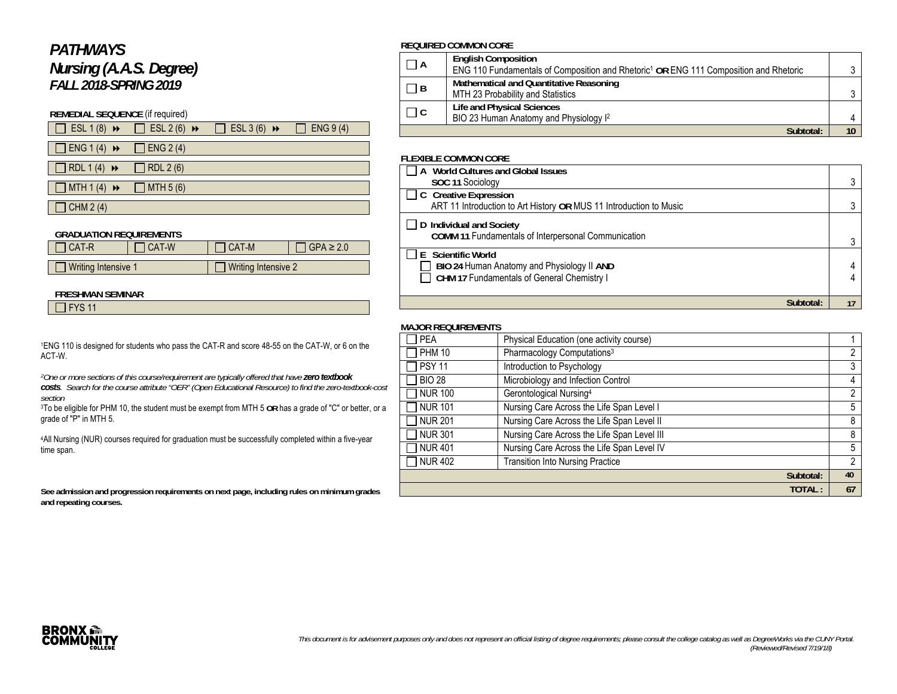# *PATHWAYS Nursing (A.A.S. Degree) FALL 2018-SPRING 2019*

### **REMEDIAL SEQUENCE** (if required)

| $\Box$ ESL 1(8) $\rightarrow$ | ESL $2(6)$ $\rightarrow$ | $\overline{BSL}$ 3 (6) $\rightarrow$ | ENG 9(4) |
|-------------------------------|--------------------------|--------------------------------------|----------|
|                               |                          |                                      |          |

 $\Box$  ENG 1 (4)  $\rightarrow$   $\Box$  ENG 2 (4)

 $\neg$ RDL 1(4)  $\rightarrow$   $\neg$ RDL 2(6)

 $\Box$  MTH 1 (4)  $\rightarrow$   $\Box$  MTH 5 (6)

 $\Box$  CHM 2 (4)

### **GRADUATION REQUIREMENTS**

| I CAT-R               | <b>CAT-W</b> | <b>CAT-M</b>        | $\overline{1}$ GPA $\geq 2.0$ |
|-----------------------|--------------|---------------------|-------------------------------|
|                       |              |                     |                               |
| ] Writing Intensive 1 |              | Writing Intensive 2 |                               |

#### **FRESHMAN SEMINAR**

 $\overline{\Box}$  FYS 11

1ENG 110 is designed for students who pass the CAT-R and score 48-55 on the CAT-W, or 6 on the ACT-W.

*2One or more sections of this course/requirement are typically offered that have zero textbook* 

*costs. Search for the course attribute "OER" (Open Educational Resource) to find the zero-textbook-cost section*

 3To be eligible for PHM 10, the student must be exempt from MTH 5 **OR** has a grade of "C" or better, or a grade of "P" in MTH 5.

4All Nursing (NUR) courses required for graduation must be successfully completed within a five-year time span.

**See admission and progression requirements on next page, including rules on minimum grades and repeating courses.** 

### **REQUIRED COMMON CORE**

| $\Box$ A             | <b>English Composition</b>                                                                        |    |
|----------------------|---------------------------------------------------------------------------------------------------|----|
|                      | ENG 110 Fundamentals of Composition and Rhetoric <sup>1</sup> OR ENG 111 Composition and Rhetoric |    |
|                      | Mathematical and Quantitative Reasoning                                                           |    |
| $\Box$ B             | MTH 23 Probability and Statistics                                                                 |    |
| $\Box$ $\Box$ $\Box$ | Life and Physical Sciences                                                                        |    |
|                      | BIO 23 Human Anatomy and Physiology I <sup>2</sup>                                                |    |
|                      | Subtotal:                                                                                         | 10 |

#### **FLEXIBLE COMMON CORE**

| A World Cultures and Global Issues                                 |    |
|--------------------------------------------------------------------|----|
| SOC 11 Sociology                                                   |    |
| $\Box$ C Creative Expression                                       |    |
| ART 11 Introduction to Art History OR MUS 11 Introduction to Music |    |
| $\Box$ D Individual and Society                                    |    |
| COMM 11 Fundamentals of Interpersonal Communication                |    |
| E Scientific World                                                 |    |
| BIO 24 Human Anatomy and Physiology II AND                         |    |
| CHM 17 Fundamentals of General Chemistry I                         |    |
|                                                                    |    |
|                                                                    | 17 |

### **MAJOR REQUIREMENTS**

| <b>PEA</b>     | Physical Education (one activity course)    |    |
|----------------|---------------------------------------------|----|
| <b>PHM 10</b>  | Pharmacology Computations <sup>3</sup>      | 2  |
| <b>PSY 11</b>  | Introduction to Psychology                  | 3  |
| <b>BIO 28</b>  | Microbiology and Infection Control          | 4  |
| <b>NUR 100</b> | Gerontological Nursing <sup>4</sup>         | 2  |
| <b>NUR 101</b> | Nursing Care Across the Life Span Level I   | 5  |
| <b>NUR 201</b> | Nursing Care Across the Life Span Level II  | 8  |
| <b>NUR 301</b> | Nursing Care Across the Life Span Level III | 8  |
| <b>NUR401</b>  | Nursing Care Across the Life Span Level IV  | 5  |
| <b>NUR 402</b> | <b>Transition Into Nursing Practice</b>     | 2  |
|                | Subtotal:                                   | 40 |
|                | TOTAL:                                      | 67 |